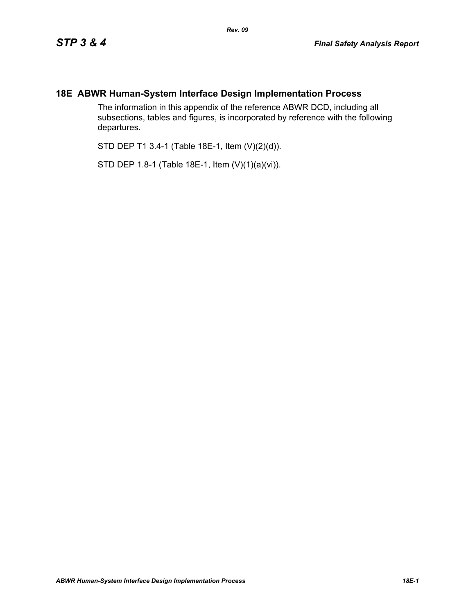## **18E ABWR Human-System Interface Design Implementation Process**

The information in this appendix of the reference ABWR DCD, including all subsections, tables and figures, is incorporated by reference with the following departures.

STD DEP T1 3.4-1 (Table 18E-1, Item (V)(2)(d)).

STD DEP 1.8-1 (Table 18E-1, Item (V)(1)(a)(vi)).